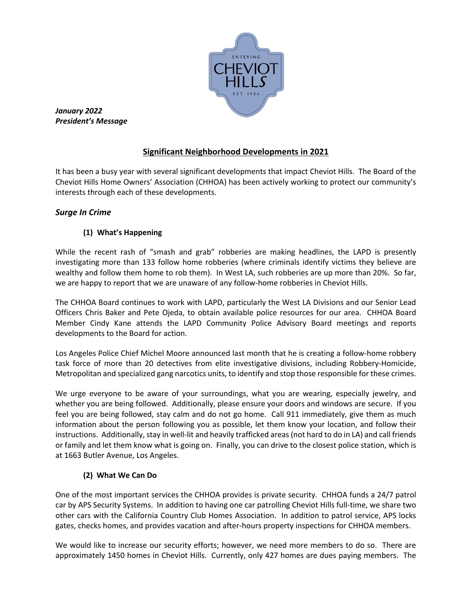

*January 2022 President's Message*

# **Significant Neighborhood Developments in 2021**

It has been a busy year with several significant developments that impact Cheviot Hills. The Board of the Cheviot Hills Home Owners' Association (CHHOA) has been actively working to protect our community's interests through each of these developments.

# *Surge In Crime*

# **(1) What's Happening**

While the recent rash of "smash and grab" robberies are making headlines, the LAPD is presently investigating more than 133 follow home robberies (where criminals identify victims they believe are wealthy and follow them home to rob them). In West LA, such robberies are up more than 20%. So far, we are happy to report that we are unaware of any follow-home robberies in Cheviot Hills.

The CHHOA Board continues to work with LAPD, particularly the West LA Divisions and our Senior Lead Officers Chris Baker and Pete Ojeda, to obtain available police resources for our area. CHHOA Board Member Cindy Kane attends the LAPD Community Police Advisory Board meetings and reports developments to the Board for action.

Los Angeles Police Chief Michel Moore announced last month that he is creating a follow-home robbery task force of more than 20 detectives from elite investigative divisions, including Robbery-Homicide, Metropolitan and specialized gang narcotics units, to identify and stop those responsible for these crimes.

We urge everyone to be aware of your surroundings, what you are wearing, especially jewelry, and whether you are being followed. Additionally, please ensure your doors and windows are secure. If you feel you are being followed, stay calm and do not go home. Call 911 immediately, give them as much information about the person following you as possible, let them know your location, and follow their instructions. Additionally, stay in well-lit and heavily trafficked areas (not hard to do in LA) and call friends or family and let them know what is going on. Finally, you can drive to the closest police station, which is at 1663 Butler Avenue, Los Angeles.

## **(2) What We Can Do**

One of the most important services the CHHOA provides is private security. CHHOA funds a 24/7 patrol car by APS Security Systems. In addition to having one car patrolling Cheviot Hills full-time, we share two other cars with the California Country Club Homes Association. In addition to patrol service, APS locks gates, checks homes, and provides vacation and after-hours property inspections for CHHOA members.

We would like to increase our security efforts; however, we need more members to do so. There are approximately 1450 homes in Cheviot Hills. Currently, only 427 homes are dues paying members. The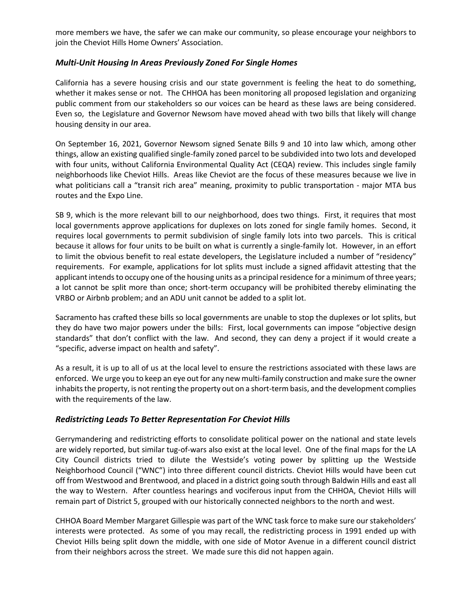more members we have, the safer we can make our community, so please encourage your neighbors to join the Cheviot Hills Home Owners' Association.

### *Multi-Unit Housing In Areas Previously Zoned For Single Homes*

California has a severe housing crisis and our state government is feeling the heat to do something, whether it makes sense or not. The CHHOA has been monitoring all proposed legislation and organizing public comment from our stakeholders so our voices can be heard as these laws are being considered. Even so, the Legislature and Governor Newsom have moved ahead with two bills that likely will change housing density in our area.

On September 16, 2021, Governor Newsom signed Senate Bills 9 and 10 into law which, among other things, allow an existing qualified single-family zoned parcel to be subdivided into two lots and developed with four units, without California Environmental Quality Act (CEQA) review. This includes single family neighborhoods like Cheviot Hills. Areas like Cheviot are the focus of these measures because we live in what politicians call a "transit rich area" meaning, proximity to public transportation - major MTA bus routes and the Expo Line.

SB 9, which is the more relevant bill to our neighborhood, does two things. First, it requires that most local governments approve applications for duplexes on lots zoned for single family homes. Second, it requires local governments to permit subdivision of single family lots into two parcels. This is critical because it allows for four units to be built on what is currently a single-family lot. However, in an effort to limit the obvious benefit to real estate developers, the Legislature included a number of "residency" requirements. For example, applications for lot splits must include a signed affidavit attesting that the applicant intends to occupy one of the housing units as a principal residence for a minimum of three years; a lot cannot be split more than once; short-term occupancy will be prohibited thereby eliminating the VRBO or Airbnb problem; and an ADU unit cannot be added to a split lot.

Sacramento has crafted these bills so local governments are unable to stop the duplexes or lot splits, but they do have two major powers under the bills: First, local governments can impose "objective design standards" that don't conflict with the law. And second, they can deny a project if it would create a "specific, adverse impact on health and safety".

As a result, it is up to all of us at the local level to ensure the restrictions associated with these laws are enforced. We urge you to keep an eye out for any new multi-family construction and make sure the owner inhabits the property, is not renting the property out on a short-term basis, and the development complies with the requirements of the law.

#### *Redistricting Leads To Better Representation For Cheviot Hills*

Gerrymandering and redistricting efforts to consolidate political power on the national and state levels are widely reported, but similar tug-of-wars also exist at the local level. One of the final maps for the LA City Council districts tried to dilute the Westside's voting power by splitting up the Westside Neighborhood Council ("WNC") into three different council districts. Cheviot Hills would have been cut off from Westwood and Brentwood, and placed in a district going south through Baldwin Hills and east all the way to Western. After countless hearings and vociferous input from the CHHOA, Cheviot Hills will remain part of District 5, grouped with our historically connected neighbors to the north and west.

CHHOA Board Member Margaret Gillespie was part of the WNC task force to make sure our stakeholders' interests were protected. As some of you may recall, the redistricting process in 1991 ended up with Cheviot Hills being split down the middle, with one side of Motor Avenue in a different council district from their neighbors across the street. We made sure this did not happen again.